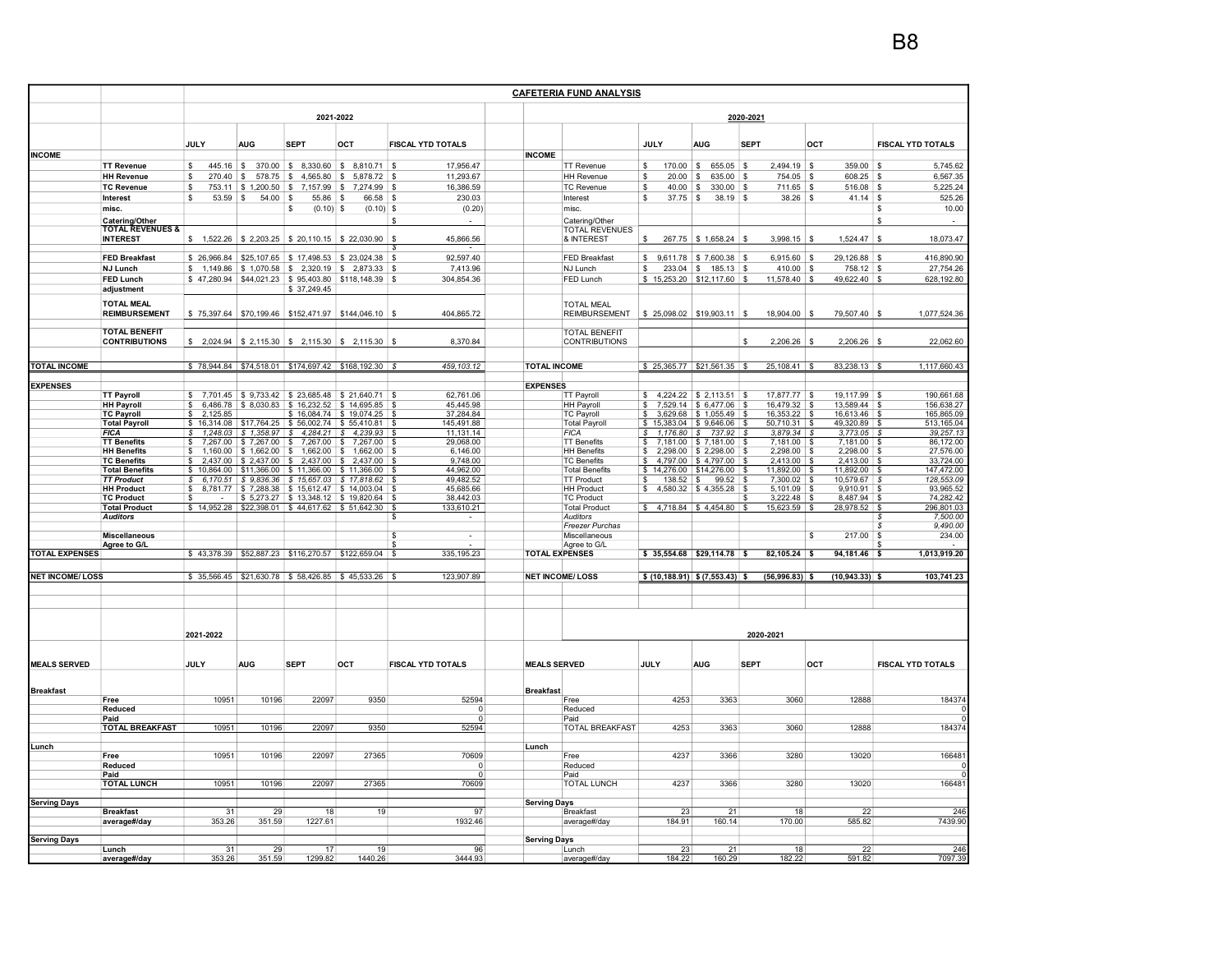|                        |                                                       | <b>CAFETERIA FUND ANALYSIS</b>               |                           |                                                                                                  |                               |                                        |                       |                                                       |                                           |                          |                                    |                                       |                                         |  |
|------------------------|-------------------------------------------------------|----------------------------------------------|---------------------------|--------------------------------------------------------------------------------------------------|-------------------------------|----------------------------------------|-----------------------|-------------------------------------------------------|-------------------------------------------|--------------------------|------------------------------------|---------------------------------------|-----------------------------------------|--|
|                        |                                                       | 2021-2022                                    |                           |                                                                                                  |                               |                                        | 2020-2021             |                                                       |                                           |                          |                                    |                                       |                                         |  |
|                        |                                                       | JULY                                         | <b>AUG</b>                | <b>SEPT</b>                                                                                      | OCT                           | <b>FISCAL YTD TOTALS</b>               |                       |                                                       | JULY                                      | <b>AUG</b>               | <b>SEPT</b>                        | OCT                                   | FISCAL YTD TOTALS                       |  |
| <b>INCOME</b>          |                                                       |                                              |                           |                                                                                                  |                               |                                        | <b>INCOME</b>         |                                                       |                                           |                          |                                    |                                       |                                         |  |
|                        | <b>TT Revenue</b>                                     | \$<br>$445.16$ \$                            |                           | 370.00 \$ 8,330.60 \$ 8,810.71                                                                   |                               | 17,956.47<br>  \$                      |                       | <b>TT Revenue</b>                                     | \$<br>$170.00$ \$                         | 655.05 \$                | $2,494.19$ \$                      | 359.00                                | 5,745.62<br>- \$                        |  |
|                        | <b>HH Revenue</b>                                     | \$<br>270.40                                 | S.                        | 578.75 \$4,565.80                                                                                | s.<br>5,878.72                | -\$<br>11,293.67                       |                       | <b>HH Revenue</b>                                     | \$<br>20.00                               | \$<br>635.00             | -S<br>754.05 \$                    | 608.25                                | 6,567.35<br>\$<br>\$                    |  |
|                        | <b>TC Revenue</b><br>Interest                         | \$<br>753.11<br>\$<br>53.59                  | \$1,200.50<br>54.00<br>۱s | $\sqrt{3}$<br>7,157.99<br>  \$<br>55.86                                                          | \$<br>7,274.99<br>\$<br>66.58 | 16,386.59<br>- \$<br>230.03<br>- \$    |                       | <b>TC Revenue</b><br>Interest                         | 40.00<br>-S<br>$37.75$ \$<br>-S           | 330.00<br>- \$<br>38.19  | 711.65<br>- S<br>$38.26$ \$<br>l S | <b>S</b><br>516.08<br>41.14           | 5,225.24<br>$\sqrt{3}$<br>525.26        |  |
|                        | misc.                                                 |                                              |                           | \$<br>$(0.10)$ \$                                                                                | $(0.10)$ \$                   | (0.20)                                 |                       | misc.                                                 |                                           |                          |                                    |                                       | 10.00<br>\$                             |  |
|                        |                                                       |                                              |                           |                                                                                                  |                               |                                        |                       |                                                       |                                           |                          |                                    |                                       |                                         |  |
|                        | Catering/Other<br>TOTAL REVENUES &<br><b>INTEREST</b> |                                              |                           | $$1,522.26$ $$2,203.25$ $$20,110.15$                                                             | \$22,030.90                   | -S<br>$\sim$<br>45,866.56              |                       | Catering/Other<br><b>TOTAL REVENUES</b><br>& INTEREST |                                           | 267.75 \$1,658.24 \$     | $3,998.15$ \$                      | 1,524.47                              | S<br>18,073.47<br><b>S</b>              |  |
|                        | <b>FED Breakfast</b>                                  |                                              |                           | \$ 26,966.84   \$25,107.65   \$ 17,498.53   \$ 23,024.38                                         |                               | 92,597.40<br>- \$                      |                       | <b>FED Breakfast</b>                                  | \$                                        | $9,611.78$ \$7,600.38 \$ | $6,915.60$ \$                      | 29,126.88 \$                          | 416,890.90                              |  |
|                        | <b>NJ Lunch</b>                                       |                                              |                           | $$1,149.86 \t{S} 1,070.58 \t{S} 2,320.19 \t{S} 2,873.33 \t{S}$                                   |                               | 7,413.96                               |                       | NJ Lunch                                              | \$                                        | $233.04$ \$ 185.13 \$    | $410.00$ \$                        | 758.12 \$                             | 27,754.26                               |  |
|                        | <b>FED Lunch</b>                                      |                                              |                           | $$47,280.94$ $$44,021.23$ $$95,403.80$ $$118,148.39$ $$$                                         |                               | 304,854.36                             |                       | FED Lunch                                             | $$15,253.20 \;   \; $12,117.60 \;   \; $$ |                          | $11,578.40$ \$                     | 49,622.40 \$                          | 628,192.80                              |  |
|                        | adjustment                                            |                                              |                           | \$37,249.45                                                                                      |                               |                                        |                       |                                                       |                                           |                          |                                    |                                       |                                         |  |
|                        | <b>TOTAL MEAL</b>                                     |                                              |                           |                                                                                                  |                               |                                        |                       |                                                       |                                           |                          |                                    |                                       |                                         |  |
|                        | <b>REIMBURSEMENT</b>                                  |                                              |                           | \$75,397.64 \$70,199.46 \$152,471.97 \$144,046.10 \$                                             |                               | 404,865.72                             |                       | <b>TOTAL MEAL</b><br><b>REIMBURSEMENT</b>             | $$25,098.02$ $$19,903.11$ \$              |                          | $18,904.00$ \$                     | 79,507.40 \$                          | 1,077,524.36                            |  |
|                        |                                                       |                                              |                           |                                                                                                  |                               |                                        |                       |                                                       |                                           |                          |                                    |                                       |                                         |  |
|                        | <b>TOTAL BENEFIT</b>                                  |                                              |                           |                                                                                                  |                               |                                        |                       | <b>TOTAL BENEFIT</b>                                  |                                           |                          |                                    |                                       |                                         |  |
|                        | <b>CONTRIBUTIONS</b>                                  |                                              |                           | $$2,024.94$ $$2,115.30$ $$2,115.30$ $$30$ $$2,115.30$                                            |                               | 8,370.84                               |                       | <b>CONTRIBUTIONS</b>                                  |                                           |                          | 2,206.26                           | 2,206.26                              | 22,062.60<br><sup>9</sup>               |  |
|                        |                                                       |                                              |                           |                                                                                                  |                               |                                        |                       |                                                       |                                           |                          |                                    |                                       |                                         |  |
| <b>TOTAL INCOME</b>    |                                                       |                                              |                           | $$78,944.84$ $$74,518.01$ $$174,697.42$ $$168,192.30$ $$$                                        |                               | 459, 103.12                            | <b>TOTAL INCOME</b>   |                                                       | $$25,365.77$ $$21,561.35$ \$              |                          | $25,108.41$ \$                     | $83,238.13$ \$                        | 1,117,660.43                            |  |
|                        |                                                       |                                              |                           |                                                                                                  |                               |                                        |                       |                                                       |                                           |                          |                                    |                                       |                                         |  |
| <b>EXPENSES</b>        |                                                       |                                              |                           |                                                                                                  |                               |                                        | <b>EXPENSES</b>       |                                                       |                                           |                          |                                    |                                       |                                         |  |
|                        | <b>TT Payroll</b>                                     | \$                                           |                           | 7,701.45 \$9,733.42 \$23,685.48 \$21,640.71                                                      |                               | 62,761.06<br>- \$                      |                       | <b>TT Payroll</b>                                     | S.                                        | 4,224.22 \$ 2,113.51 \$  | 17,877.77 \$                       | 19.117.99                             | 190,661.68<br>$\mathbf{s}$              |  |
|                        | <b>HH Payroll</b>                                     | \$                                           |                           | 6,486.78 \$8,030.83 \$16,232.52 \$14,695.85                                                      |                               | 45,445.98<br>- \$                      |                       | HH Payroll                                            | S.                                        | 7,529.14 \$6,477.06      | 16,479.32 \$<br>l S                | 13,589.44                             | 156,638.27<br>- \$                      |  |
|                        | <b>TC Payroll</b><br><b>Total Payroll</b>             | 2.125.85<br>\$.<br>$\mathbf{s}$<br>16.314.08 |                           | $$17,764.25$ $$56,002.74$ $$55,410.81$ \$                                                        | \$16,084.74 \$19,074.25       | 37,284.84<br>145,491.88                |                       | <b>TC Payroll</b><br><b>Total Payroll</b>             | $$15,383.04$ $$9,646.06$ \ \$             | 3,629.68 \$1,055.49      | 16,353.22<br>l S<br>$50,710.31$ \$ | 16,613.46<br><b>S</b><br>49,320.89 \$ | 165,865.09<br>l S<br>513,165.04         |  |
|                        | <b>FICA</b>                                           | l S                                          |                           | $1,248.03$ \$ $1,358.97$ \$ $4,284.21$ \$ $4,239.93$ \$                                          |                               | 11,131.14                              |                       | <b>FICA</b>                                           | $$1,176.80$ $$737.92$ \$                  |                          | $3,879.34$ \$                      | $3,773.05$ \$                         | 39,257.13                               |  |
|                        | <b>TT Benefits</b>                                    | s.                                           |                           | 7,267.00 \$7,267.00 \$7,267.00 \$7,267.00                                                        |                               | 29,068.00<br>- \$                      |                       | <b>TT Benefits</b>                                    | \$                                        | 7,181.00 \$7,181.00      | $7,181.00$ \$<br>l S               | $7,181.00$ \$                         | 86,172.00                               |  |
|                        | <b>HH Benefits</b>                                    | \$                                           |                           | $1,160.00$ \$ $1,662.00$ \$ $1,662.00$ \$ $1,662.00$                                             |                               | 6,146.00<br>- \$                       |                       | <b>HH Benefits</b>                                    | \$                                        | 2,298.00 \$ 2,298.00     | 2,298.00 \$<br>l S                 | 2,298.00                              | 27,576.00<br>$\mathbf{s}$               |  |
|                        | <b>TC Benefits</b>                                    |                                              | $2.437.00$ \$ 2.437.00 \$ | 2.437.00                                                                                         | 2.437.00<br>-S                | 9.748.00                               |                       | <b>TC Benefits</b>                                    |                                           | $4.797.00$ \$ 4.797.00   | $2.413.00$ \$                      | 2,413.00                              | 33,724.00                               |  |
|                        | <b>Total Benefits</b>                                 | $\mathbf{s}$                                 |                           | 10,864.00 \$11,366.00 \$11,366.00 \$11,366.00 \$                                                 |                               | 44,962.00                              |                       | <b>Total Benefits</b>                                 | $$14,276.00$ $$14,276.00$ \$              |                          | 11,892.00 \$                       | 11,892.00 \$                          | 147,472.00                              |  |
|                        | <b>TT Product</b><br><b>HH Product</b>                | S                                            |                           | 6,170.51 \$ 9,836.36 \$ 15,657.03 \$ 17,818.62 \$<br>8,781.77 \$7,288.38 \$15,612.47 \$14,003.04 |                               | 49,482.52<br>45,685.66<br>$\mathbf{s}$ |                       | <b>TT Product</b><br><b>HH Product</b>                | $138.52$ \$<br>- SS                       | $99.52$ \$               | $7,300.02$ \$<br>$5,101.09$ \$     | $10,579.67$ \$<br>9,910.91            | 128,553.09<br>93,965.52<br>$\mathbf{s}$ |  |
|                        | <b>TC Product</b>                                     | \$                                           |                           | $$5,273.27$ $$13,348.12$ $$19,820.64$                                                            |                               | 38,442.03<br>l \$                      |                       | <b>TC Product</b>                                     | $$4,580.32 \;   \; $4,355.28$$            |                          | $3,222.48$ \$                      | 8,487.94 \$                           | 74,282.42                               |  |
|                        | <b>Total Product</b>                                  |                                              |                           | $$14,952.28$ $$22,398.01$ $$44,617.62$ $$51,642.30$ $$$                                          |                               | 133,610.21                             |                       | <b>Total Product</b>                                  | $$4,718.84 \t   $4,454.80 \t   $$         |                          | 15,623.59 \$                       | 28,978.52 \$                          | 296,801.03                              |  |
|                        | <b>Auditors</b>                                       |                                              |                           |                                                                                                  |                               |                                        |                       | Auditors                                              |                                           |                          |                                    |                                       | 7,500.00                                |  |
|                        |                                                       |                                              |                           |                                                                                                  |                               |                                        |                       | Freezer Purchas                                       |                                           |                          |                                    |                                       | 9,490.00                                |  |
|                        | <b>Miscellaneous</b>                                  |                                              |                           |                                                                                                  |                               | -S<br>$\sim$                           |                       | Miscellaneous                                         |                                           |                          |                                    | 217.00<br>\$                          | 234.00<br>£                             |  |
| <b>TOTAL EXPENSES</b>  | Agree to G/L                                          |                                              |                           | \$43,378.39   \$52,887.23   \$116,270.57   \$122,659.04   \$                                     |                               | 335, 195.23                            | <b>TOTAL EXPENSES</b> | Agree to G/L                                          | $$35,554.68$ $$29,114.78$ \$              |                          | 82,105.24 \$                       | 94,181.46 \$                          | 1,013,919.20                            |  |
|                        |                                                       |                                              |                           |                                                                                                  |                               |                                        |                       |                                                       |                                           |                          |                                    |                                       |                                         |  |
| <b>NET INCOME/LOSS</b> |                                                       |                                              |                           | \$ 35,566.45 \$21,630.78 \$ 58,426.85 \$ 45,533.26                                               |                               | 123,907.89                             |                       | <b>NET INCOME/LOSS</b>                                | \$ (10, 188.91) \$ (7, 553.43) \$         |                          | $(56,996.83)$ \$                   | $(10,943.33)$ \$                      | 103,741.23                              |  |
|                        |                                                       |                                              |                           |                                                                                                  |                               |                                        |                       |                                                       |                                           |                          |                                    |                                       |                                         |  |
|                        |                                                       | 2021-2022                                    |                           |                                                                                                  |                               |                                        |                       |                                                       |                                           |                          | 2020-2021                          |                                       |                                         |  |
| <b>MEALS SERVED</b>    |                                                       | JULY                                         | <b>AUG</b>                | <b>SEPT</b>                                                                                      | OCT                           | FISCAL YTD TOTALS                      | <b>MEALS SERVED</b>   |                                                       | JULY                                      | <b>AUG</b>               | <b>SEPT</b>                        | OCT                                   | <b>FISCAL YTD TOTALS</b>                |  |
|                        |                                                       |                                              |                           |                                                                                                  |                               |                                        |                       |                                                       |                                           |                          |                                    |                                       |                                         |  |
|                        |                                                       |                                              |                           |                                                                                                  |                               |                                        |                       |                                                       |                                           |                          |                                    |                                       |                                         |  |
| <b>Breakfast</b>       | Free                                                  | 10951                                        | 10196                     | 22097                                                                                            | 9350                          | 52594                                  | <b>Breakfast</b>      | Free                                                  | 4253                                      | 3363                     | 3060                               | 12888                                 | 184374                                  |  |
|                        | Reduced                                               |                                              |                           |                                                                                                  |                               | $\mathbf 0$                            |                       | Reduced                                               |                                           |                          |                                    |                                       | C                                       |  |
|                        | Paid                                                  |                                              |                           |                                                                                                  |                               | $^{\circ}$                             |                       | Paid                                                  |                                           |                          |                                    |                                       | <sup>n</sup>                            |  |
|                        | <b>TOTAL BREAKFAST</b>                                | 10951                                        | 10196                     | 22097                                                                                            | 9350                          | 52594                                  |                       | <b>TOTAL BREAKFAST</b>                                | 4253                                      | 3363                     | 3060                               | 12888                                 | 184374                                  |  |
|                        |                                                       |                                              |                           |                                                                                                  |                               |                                        |                       |                                                       |                                           |                          |                                    |                                       |                                         |  |
| Lunch                  |                                                       |                                              |                           |                                                                                                  |                               |                                        | Lunch                 |                                                       |                                           |                          |                                    |                                       |                                         |  |
|                        | Free                                                  | 10951                                        | 10196                     | 22097                                                                                            | 27365                         | 70609                                  |                       | Free                                                  | 4237                                      | 3366                     | 3280                               | 13020                                 | 16648                                   |  |
|                        | Reduced<br>Paid                                       |                                              |                           |                                                                                                  |                               | $\Omega$<br>$\mathbf 0$                |                       | Reduced<br>Paid                                       |                                           |                          |                                    |                                       |                                         |  |
|                        | <b>TOTAL LUNCH</b>                                    | 10951                                        | 10196                     | 22097                                                                                            | 27365                         | 70609                                  |                       | <b>TOTAL LUNCH</b>                                    | 4237                                      | 3366                     | 3280                               | 13020                                 | 166481                                  |  |
|                        |                                                       |                                              |                           |                                                                                                  |                               |                                        |                       |                                                       |                                           |                          |                                    |                                       |                                         |  |
| <b>Serving Days</b>    |                                                       |                                              |                           |                                                                                                  |                               |                                        | <b>Serving Days</b>   |                                                       |                                           |                          |                                    |                                       |                                         |  |
|                        | <b>Breakfast</b>                                      | 31                                           | 29                        | 18                                                                                               | 19                            | 97                                     |                       | <b>Breakfast</b>                                      | 23                                        | 21                       | 18                                 | 22                                    | 246                                     |  |
|                        | average#/day                                          | 353.26                                       | 351.59                    | 1227.61                                                                                          |                               | 1932.46                                |                       | average#/day                                          | 184.91                                    | 160.14                   | 170.00                             | 585.82                                | 7439.90                                 |  |
| <b>Serving Days</b>    |                                                       |                                              |                           |                                                                                                  |                               |                                        | <b>Serving Days</b>   |                                                       |                                           |                          |                                    |                                       |                                         |  |
|                        | Lunch                                                 | 31                                           | 29                        | 17                                                                                               | 19                            | 96                                     |                       | Lunch                                                 | 23                                        | 21                       | 18                                 | 22                                    | 246                                     |  |
|                        | average#/day                                          | 353.26                                       | 351.59                    | 1299.82                                                                                          | 1440.26                       | 3444.93                                |                       | average#/day                                          | 184.22                                    | 160.29                   | 182.22                             | 591.82                                | 7097.39                                 |  |